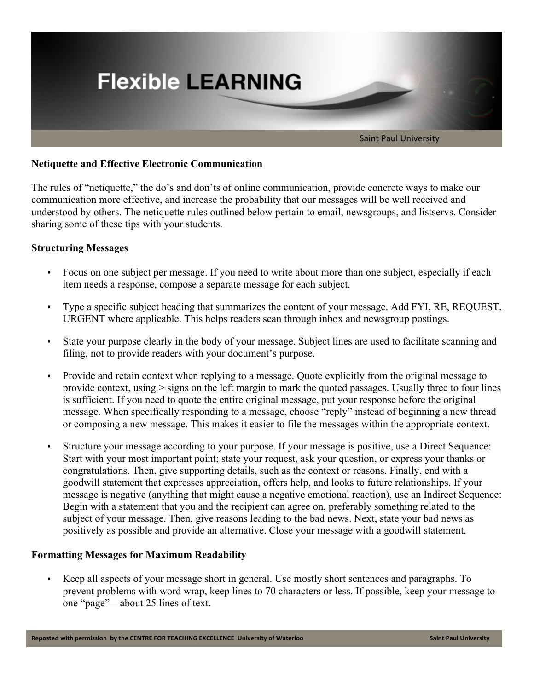

# **Netiquette and Effective Electronic Communication**

The rules of "netiquette," the do's and don'ts of online communication, provide concrete ways to make our communication more effective, and increase the probability that our messages will be well received and understood by others. The netiquette rules outlined below pertain to email, newsgroups, and listservs. Consider sharing some of these tips with your students.

## **Structuring Messages**

- Focus on one subject per message. If you need to write about more than one subject, especially if each item needs a response, compose a separate message for each subject.
- Type a specific subject heading that summarizes the content of your message. Add FYI, RE, REQUEST, URGENT where applicable. This helps readers scan through inbox and newsgroup postings.
- State your purpose clearly in the body of your message. Subject lines are used to facilitate scanning and filing, not to provide readers with your document's purpose.
- Provide and retain context when replying to a message. Quote explicitly from the original message to provide context, using > signs on the left margin to mark the quoted passages. Usually three to four lines is sufficient. If you need to quote the entire original message, put your response before the original message. When specifically responding to a message, choose "reply" instead of beginning a new thread or composing a new message. This makes it easier to file the messages within the appropriate context.
- Structure your message according to your purpose. If your message is positive, use a Direct Sequence: Start with your most important point; state your request, ask your question, or express your thanks or congratulations. Then, give supporting details, such as the context or reasons. Finally, end with a goodwill statement that expresses appreciation, offers help, and looks to future relationships. If your message is negative (anything that might cause a negative emotional reaction), use an Indirect Sequence: Begin with a statement that you and the recipient can agree on, preferably something related to the subject of your message. Then, give reasons leading to the bad news. Next, state your bad news as positively as possible and provide an alternative. Close your message with a goodwill statement.

#### **Formatting Messages for Maximum Readability**

• Keep all aspects of your message short in general. Use mostly short sentences and paragraphs. To prevent problems with word wrap, keep lines to 70 characters or less. If possible, keep your message to one "page"—about 25 lines of text.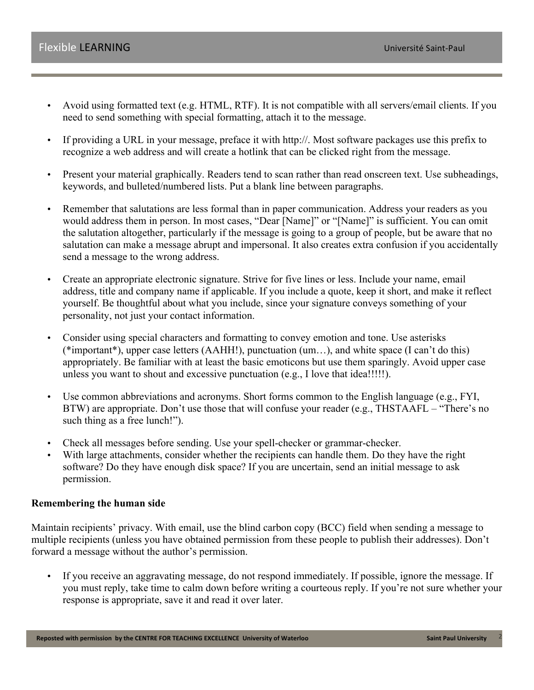- Avoid using formatted text (e.g. HTML, RTF). It is not compatible with all servers/email clients. If you need to send something with special formatting, attach it to the message.
- If providing a URL in your message, preface it with http://. Most software packages use this prefix to recognize a web address and will create a hotlink that can be clicked right from the message.
- Present your material graphically. Readers tend to scan rather than read onscreen text. Use subheadings, keywords, and bulleted/numbered lists. Put a blank line between paragraphs.
- Remember that salutations are less formal than in paper communication. Address your readers as you would address them in person. In most cases, "Dear [Name]" or "[Name]" is sufficient. You can omit the salutation altogether, particularly if the message is going to a group of people, but be aware that no salutation can make a message abrupt and impersonal. It also creates extra confusion if you accidentally send a message to the wrong address.
- Create an appropriate electronic signature. Strive for five lines or less. Include your name, email address, title and company name if applicable. If you include a quote, keep it short, and make it reflect yourself. Be thoughtful about what you include, since your signature conveys something of your personality, not just your contact information.
- Consider using special characters and formatting to convey emotion and tone. Use asterisks (\*important\*), upper case letters (AAHH!), punctuation (um…), and white space (I can't do this) appropriately. Be familiar with at least the basic emoticons but use them sparingly. Avoid upper case unless you want to shout and excessive punctuation (e.g., I love that idea!!!!!).
- Use common abbreviations and acronyms. Short forms common to the English language (e.g., FYI, BTW) are appropriate. Don't use those that will confuse your reader (e.g., THSTAAFL – "There's no such thing as a free lunch!").
- Check all messages before sending. Use your spell-checker or grammar-checker.
- With large attachments, consider whether the recipients can handle them. Do they have the right software? Do they have enough disk space? If you are uncertain, send an initial message to ask permission.

#### **Remembering the human side**

Maintain recipients' privacy. With email, use the blind carbon copy (BCC) field when sending a message to multiple recipients (unless you have obtained permission from these people to publish their addresses). Don't forward a message without the author's permission.

• If you receive an aggravating message, do not respond immediately. If possible, ignore the message. If you must reply, take time to calm down before writing a courteous reply. If you're not sure whether your response is appropriate, save it and read it over later.